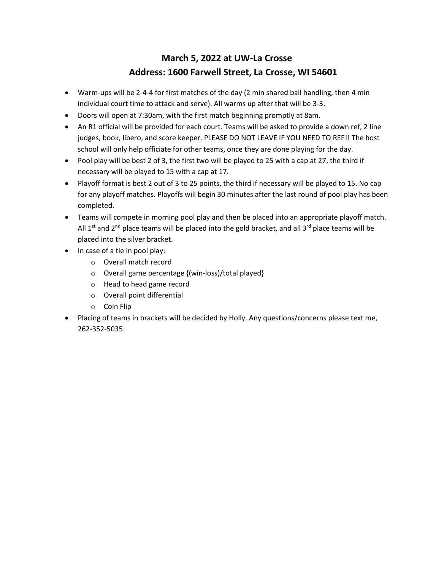## **March 5, 2022 at UW-La Crosse Address: 1600 Farwell Street, La Crosse, WI 54601**

- Warm-ups will be 2-4-4 for first matches of the day (2 min shared ball handling, then 4 min individual court time to attack and serve). All warms up after that will be 3-3.
- Doors will open at 7:30am, with the first match beginning promptly at 8am.
- An R1 official will be provided for each court. Teams will be asked to provide a down ref, 2 line judges, book, libero, and score keeper. PLEASE DO NOT LEAVE IF YOU NEED TO REF!! The host school will only help officiate for other teams, once they are done playing for the day.
- Pool play will be best 2 of 3, the first two will be played to 25 with a cap at 27, the third if necessary will be played to 15 with a cap at 17.
- Playoff format is best 2 out of 3 to 25 points, the third if necessary will be played to 15. No cap for any playoff matches. Playoffs will begin 30 minutes after the last round of pool play has been completed.
- Teams will compete in morning pool play and then be placed into an appropriate playoff match. All  $1^{st}$  and  $2^{nd}$  place teams will be placed into the gold bracket, and all  $3^{rd}$  place teams will be placed into the silver bracket.
- In case of a tie in pool play:
	- o Overall match record
	- o Overall game percentage {(win-loss)/total played}
	- o Head to head game record
	- o Overall point differential
	- o Coin Flip
- Placing of teams in brackets will be decided by Holly. Any questions/concerns please text me, 262-352-5035.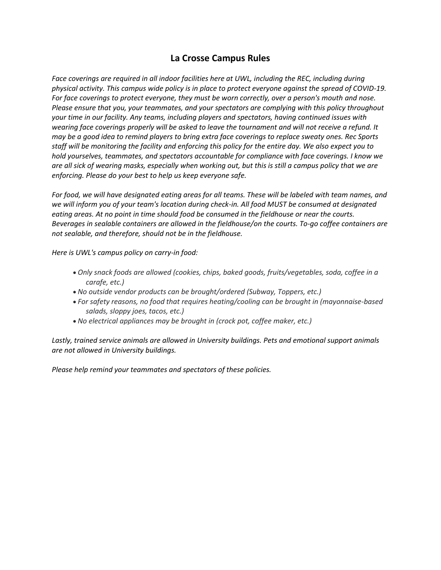## **La Crosse Campus Rules**

*Face coverings are required in all indoor facilities here at UWL, including the REC, including during physical activity. This campus wide policy is in place to protect everyone against the spread of COVID-19. For face coverings to protect everyone, they must be worn correctly, over a person's mouth and nose. Please ensure that you, your teammates, and your spectators are complying with this policy throughout your time in our facility. Any teams, including players and spectators, having continued issues with wearing face coverings properly will be asked to leave the tournament and will not receive a refund. It may be a good idea to remind players to bring extra face coverings to replace sweaty ones. Rec Sports staff will be monitoring the facility and enforcing this policy for the entire day. We also expect you to hold yourselves, teammates, and spectators accountable for compliance with face coverings. I know we are all sick of wearing masks, especially when working out, but this is still a campus policy that we are enforcing. Please do your best to help us keep everyone safe.*

*For food, we will have designated eating areas for all teams. These will be labeled with team names, and we will inform you of your team's location during check-in. All food MUST be consumed at designated eating areas. At no point in time should food be consumed in the fieldhouse or near the courts. Beverages in sealable containers are allowed in the fieldhouse/on the courts. To-go coffee containers are not sealable, and therefore, should not be in the fieldhouse.*

*Here is UWL's campus policy on carry-in food:*

- *Only snack foods are allowed (cookies, chips, baked goods, fruits/vegetables, soda, coffee in a carafe, etc.)*
- *No outside vendor products can be brought/ordered (Subway, Toppers, etc.)*
- *For safety reasons, no food that requires heating/cooling can be brought in (mayonnaise-based salads, sloppy joes, tacos, etc.)*
- *No electrical appliances may be brought in (crock pot, coffee maker, etc.)*

*Lastly, trained service animals are allowed in University buildings. Pets and emotional support animals are not allowed in University buildings.*

*Please help remind your teammates and spectators of these policies.*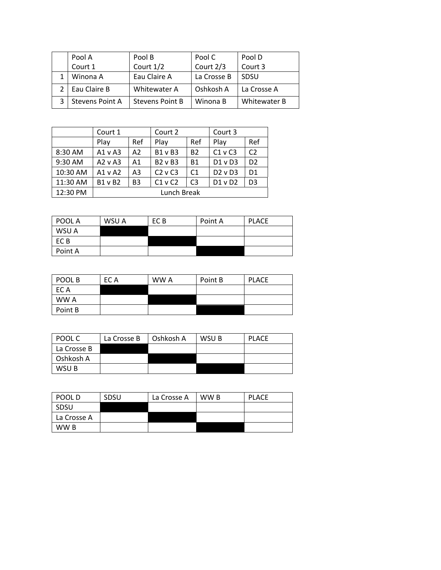|              | Pool A                   | Pool B                 | Pool C      | Pool D       |
|--------------|--------------------------|------------------------|-------------|--------------|
|              | Court 1                  | Court 1/2              | Court 2/3   | Court 3      |
|              | Eau Claire A<br>Winona A |                        | La Crosse B | <b>SDSU</b>  |
| Eau Claire B |                          | Whitewater A           | Oshkosh A   | La Crosse A  |
|              | <b>Stevens Point A</b>   | <b>Stevens Point B</b> | Winona B    | Whitewater B |

|          | Court 1      |                | Court 2        |                | Court 3     |                |
|----------|--------------|----------------|----------------|----------------|-------------|----------------|
|          | Play         | Ref            | Play           | Ref            | Play        | Ref            |
| 8:30 AM  | A1vA3        | A2             | <b>B1 v B3</b> | <b>B2</b>      | $C1$ v $C3$ | C <sub>2</sub> |
| 9:30 AM  | $A2 \vee A3$ | A1             | $B2 \vee B3$   | <b>B1</b>      | $D1$ v $D3$ | D <sub>2</sub> |
| 10:30 AM | $A1 \vee A2$ | A3             | $C2$ v $C3$    | C <sub>1</sub> | $D2$ v $D3$ | D <sub>1</sub> |
| 11:30 AM | $B1 \vee B2$ | B <sub>3</sub> | $C1$ v $C2$    | C <sub>3</sub> | $D1$ v $D2$ | D <sub>3</sub> |
| 12:30 PM | Lunch Break  |                |                |                |             |                |

| POOL A  | WSU A | EC B | Point A | <b>PLACE</b> |
|---------|-------|------|---------|--------------|
| WSU A   |       |      |         |              |
| EC B    |       |      |         |              |
| Point A |       |      |         |              |

| POOL B  | EC A | WW A | Point B | <b>PLACE</b> |
|---------|------|------|---------|--------------|
| EC A    |      |      |         |              |
| WW A    |      |      |         |              |
| Point B |      |      |         |              |

| POOL C      | La Crosse B | Oshkosh A | WSU B | <b>PLACE</b> |
|-------------|-------------|-----------|-------|--------------|
| La Crosse B |             |           |       |              |
| Oshkosh A   |             |           |       |              |
| WSU B       |             |           |       |              |

| POOL D      | <b>SDSU</b> | La Crosse A | WW B | <b>PLACE</b> |
|-------------|-------------|-------------|------|--------------|
| <b>SDSU</b> |             |             |      |              |
| La Crosse A |             |             |      |              |
| WW B        |             |             |      |              |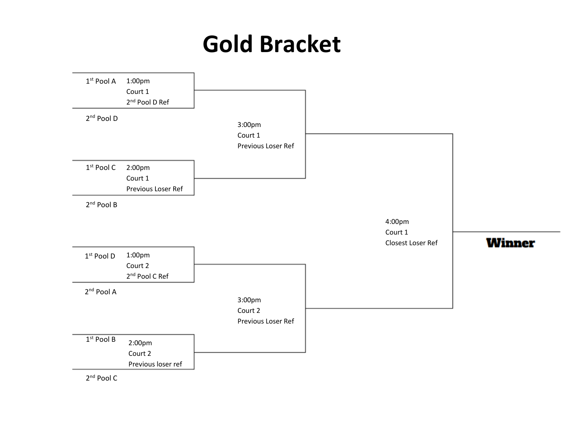## **Gold Bracket**



2<sup>nd</sup> Pool C